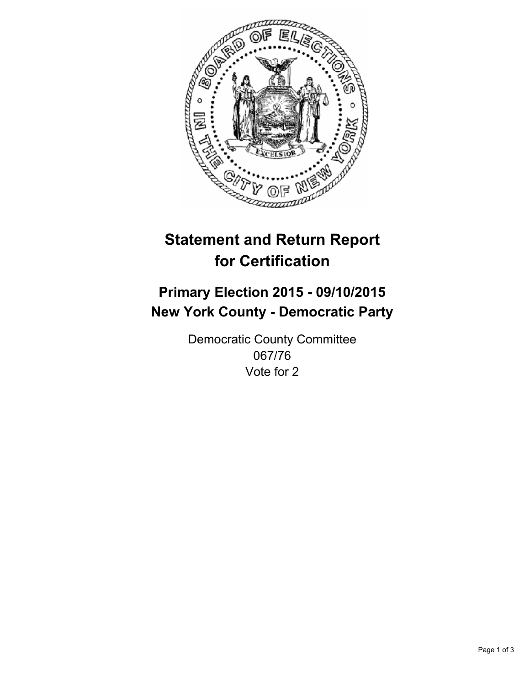

# **Statement and Return Report for Certification**

## **Primary Election 2015 - 09/10/2015 New York County - Democratic Party**

Democratic County Committee 067/76 Vote for 2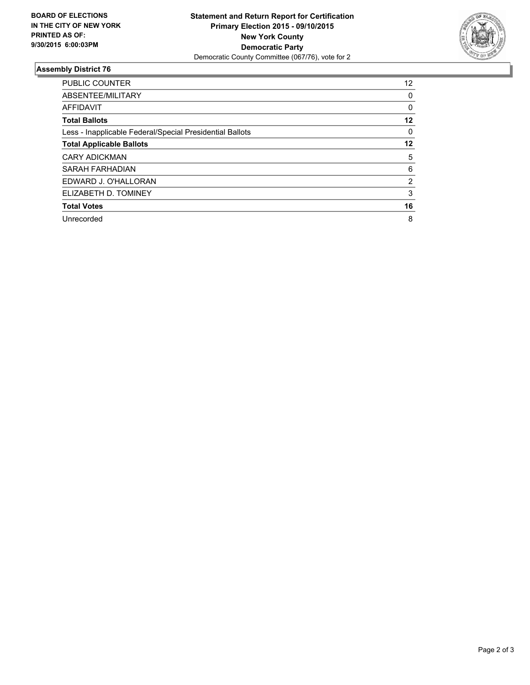

#### **Assembly District 76**

| <b>PUBLIC COUNTER</b>                                    | 12             |
|----------------------------------------------------------|----------------|
| ABSENTEE/MILITARY                                        | 0              |
| <b>AFFIDAVIT</b>                                         | 0              |
| <b>Total Ballots</b>                                     | 12             |
| Less - Inapplicable Federal/Special Presidential Ballots | 0              |
| <b>Total Applicable Ballots</b>                          | 12             |
| <b>CARY ADICKMAN</b>                                     | 5              |
| SARAH FARHADIAN                                          | 6              |
| EDWARD J. O'HALLORAN                                     | $\overline{2}$ |
| ELIZABETH D. TOMINEY                                     | 3              |
| <b>Total Votes</b>                                       | 16             |
| Unrecorded                                               | 8              |